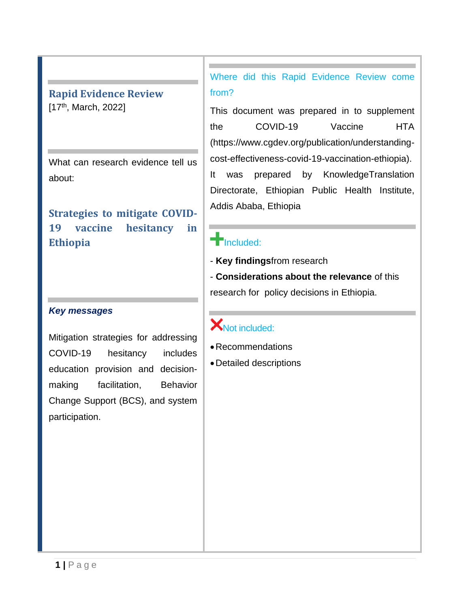## **Rapid Evidence Review** [17<sup>th</sup>, March, 2022]

What can research evidence tell us about:

**Strategies to mitigate COVID-19 vaccine hesitancy in Ethiopia**

#### *Key messages*

Mitigation strategies for addressing COVID-19 hesitancy includes education provision and decisionmaking facilitation, Behavior Change Support (BCS), and system participation.

Where did this Rapid Evidence Review come from?

This document was prepared in to supplement the COVID-19 Vaccine HTA (https://www.cgdev.org/publication/understandingcost-effectiveness-covid-19-vaccination-ethiopia). It was prepared by KnowledgeTranslation Directorate, Ethiopian Public Health Institute, Addis Ababa, Ethiopia

# **T**Included:

- **Key findings**from research

- **Considerations about the relevance** of this research for policy decisions in Ethiopia.

# **X**Not included:

- •Recommendations
- •Detailed descriptions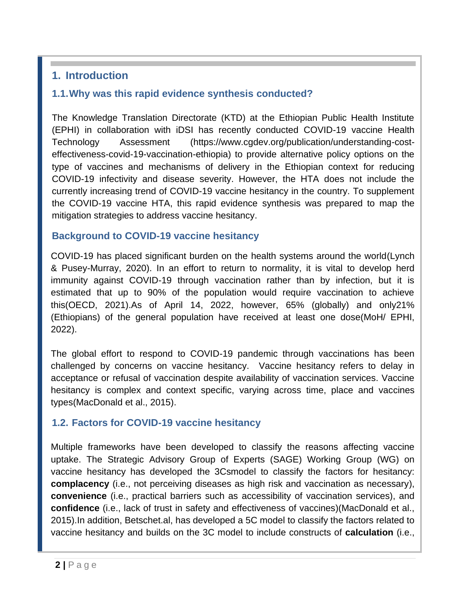## **1. Introduction**

### **1.1.Why was this rapid evidence synthesis conducted?**

The Knowledge Translation Directorate (KTD) at the Ethiopian Public Health Institute (EPHI) in collaboration with iDSI has recently conducted COVID-19 vaccine Health Technology Assessment (https://www.cgdev.org/publication/understanding-costeffectiveness-covid-19-vaccination-ethiopia) to provide alternative policy options on the type of vaccines and mechanisms of delivery in the Ethiopian context for reducing COVID-19 infectivity and disease severity. However, the HTA does not include the currently increasing trend of COVID-19 vaccine hesitancy in the country. To supplement the COVID-19 vaccine HTA, this rapid evidence synthesis was prepared to map the mitigation strategies to address vaccine hesitancy.

#### **Background to COVID-19 vaccine hesitancy**

COVID-19 has placed significant burden on the health systems around the world(Lynch & Pusey-Murray, 2020). In an effort to return to normality, it is vital to develop herd immunity against COVID-19 through vaccination rather than by infection, but it is estimated that up to 90% of the population would require vaccination to achieve this(OECD, 2021).As of April 14, 2022, however, 65% (globally) and only21% (Ethiopians) of the general population have received at least one dose(MoH/ EPHI, 2022).

The global effort to respond to COVID-19 pandemic through vaccinations has been challenged by concerns on vaccine hesitancy. Vaccine hesitancy refers to delay in acceptance or refusal of vaccination despite availability of vaccination services. Vaccine hesitancy is complex and context specific, varying across time, place and vaccines types(MacDonald et al., 2015).

## **1.2. Factors for COVID-19 vaccine hesitancy**

Multiple frameworks have been developed to classify the reasons affecting vaccine uptake. The Strategic Advisory Group of Experts (SAGE) Working Group (WG) on vaccine hesitancy has developed the 3Csmodel to classify the factors for hesitancy: **complacency** (i.e., not perceiving diseases as high risk and vaccination as necessary), **convenience** (i.e., practical barriers such as accessibility of vaccination services), and **confidence** (i.e., lack of trust in safety and effectiveness of vaccines)(MacDonald et al., 2015).In addition, Betschet.al, has developed a 5C model to classify the factors related to vaccine hesitancy and builds on the 3C model to include constructs of **calculation** (i.e.,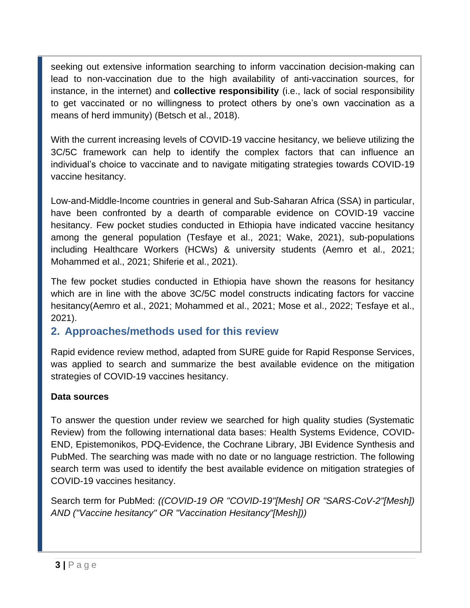seeking out extensive information searching to inform vaccination decision-making can lead to non-vaccination due to the high availability of anti-vaccination sources, for instance, in the internet) and **collective responsibility** (i.e., lack of social responsibility to get vaccinated or no willingness to protect others by one's own vaccination as a means of herd immunity) (Betsch et al., 2018).

With the current increasing levels of COVID-19 vaccine hesitancy, we believe utilizing the 3C/5C framework can help to identify the complex factors that can influence an individual's choice to vaccinate and to navigate mitigating strategies towards COVID-19 vaccine hesitancy.

Low-and-Middle-Income countries in general and Sub-Saharan Africa (SSA) in particular, have been confronted by a dearth of comparable evidence on COVID-19 vaccine hesitancy. Few pocket studies conducted in Ethiopia have indicated vaccine hesitancy among the general population (Tesfaye et al., 2021; Wake, 2021), sub-populations including Healthcare Workers (HCWs) & university students (Aemro et al., 2021; Mohammed et al., 2021; Shiferie et al., 2021).

The few pocket studies conducted in Ethiopia have shown the reasons for hesitancy which are in line with the above 3C/5C model constructs indicating factors for vaccine hesitancy(Aemro et al., 2021; Mohammed et al., 2021; Mose et al., 2022; Tesfaye et al., 2021).

## **2. Approaches/methods used for this review**

Rapid evidence review method, adapted from SURE guide for Rapid Response Services, was applied to search and summarize the best available evidence on the mitigation strategies of COVID-19 vaccines hesitancy.

#### **Data sources**

To answer the question under review we searched for high quality studies (Systematic Review) from the following international data bases: Health Systems Evidence, COVID-END, Epistemonikos, PDQ-Evidence, the Cochrane Library, JBI Evidence Synthesis and PubMed. The searching was made with no date or no language restriction. The following search term was used to identify the best available evidence on mitigation strategies of COVID-19 vaccines hesitancy.

Search term for PubMed: *((COVID-19 OR "COVID-19"[Mesh] OR "SARS-CoV-2"[Mesh]) AND ("Vaccine hesitancy" OR "Vaccination Hesitancy"[Mesh]))*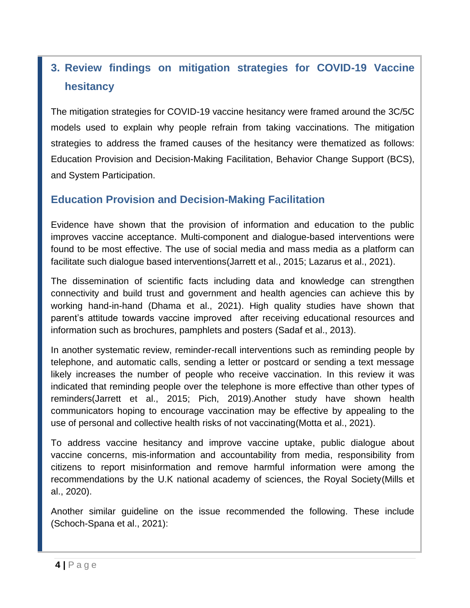# **3. Review findings on mitigation strategies for COVID-19 Vaccine hesitancy**

The mitigation strategies for COVID-19 vaccine hesitancy were framed around the 3C/5C models used to explain why people refrain from taking vaccinations. The mitigation strategies to address the framed causes of the hesitancy were thematized as follows: Education Provision and Decision-Making Facilitation, Behavior Change Support (BCS), and System Participation.

## **Education Provision and Decision-Making Facilitation**

Evidence have shown that the provision of information and education to the public improves vaccine acceptance. Multi-component and dialogue-based interventions were found to be most effective. The use of social media and mass media as a platform can facilitate such dialogue based interventions(Jarrett et al., 2015; Lazarus et al., 2021).

The dissemination of scientific facts including data and knowledge can strengthen connectivity and build trust and government and health agencies can achieve this by working hand-in-hand (Dhama et al., 2021). High quality studies have shown that parent's attitude towards vaccine improved after receiving educational resources and information such as brochures, pamphlets and posters (Sadaf et al., 2013).

In another systematic review, reminder-recall interventions such as reminding people by telephone, and automatic calls, sending a letter or postcard or sending a text message likely increases the number of people who receive vaccination. In this review it was indicated that reminding people over the telephone is more effective than other types of reminders(Jarrett et al., 2015; Pich, 2019).Another study have shown health communicators hoping to encourage vaccination may be effective by appealing to the use of personal and collective health risks of not vaccinating(Motta et al., 2021).

To address vaccine hesitancy and improve vaccine uptake, public dialogue about vaccine concerns, mis-information and accountability from media, responsibility from citizens to report misinformation and remove harmful information were among the recommendations by the U.K national academy of sciences, the Royal Society(Mills et al., 2020).

Another similar guideline on the issue recommended the following. These include (Schoch-Spana et al., 2021):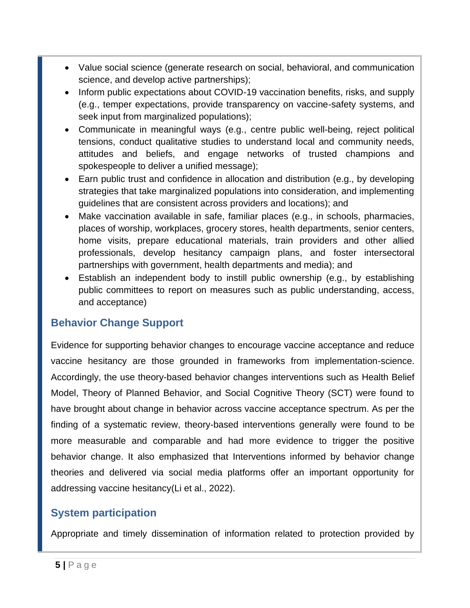- Value social science (generate research on social, behavioral, and communication science, and develop active partnerships);
- Inform public expectations about COVID-19 vaccination benefits, risks, and supply (e.g., temper expectations, provide transparency on vaccine-safety systems, and seek input from marginalized populations);
- Communicate in meaningful ways (e.g., centre public well-being, reject political tensions, conduct qualitative studies to understand local and community needs, attitudes and beliefs, and engage networks of trusted champions and spokespeople to deliver a unified message);
- Earn public trust and confidence in allocation and distribution (e.g., by developing strategies that take marginalized populations into consideration, and implementing guidelines that are consistent across providers and locations); and
- Make vaccination available in safe, familiar places (e.g., in schools, pharmacies, places of worship, workplaces, grocery stores, health departments, senior centers, home visits, prepare educational materials, train providers and other allied professionals, develop hesitancy campaign plans, and foster intersectoral partnerships with government, health departments and media); and
- Establish an independent body to instill public ownership (e.g., by establishing public committees to report on measures such as public understanding, access, and acceptance)

# **Behavior Change Support**

Evidence for supporting behavior changes to encourage vaccine acceptance and reduce vaccine hesitancy are those grounded in frameworks from implementation-science. Accordingly, the use theory-based behavior changes interventions such as Health Belief Model, Theory of Planned Behavior, and Social Cognitive Theory (SCT) were found to have brought about change in behavior across vaccine acceptance spectrum. As per the finding of a systematic review, theory-based interventions generally were found to be more measurable and comparable and had more evidence to trigger the positive behavior change. It also emphasized that Interventions informed by behavior change theories and delivered via social media platforms offer an important opportunity for addressing vaccine hesitancy(Li et al., 2022).

## **System participation**

Appropriate and timely dissemination of information related to protection provided by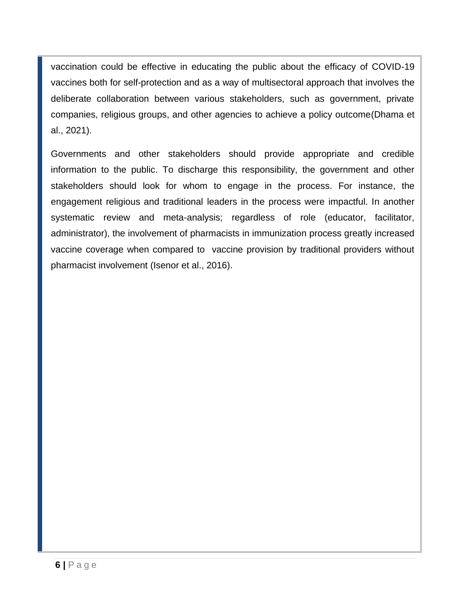vaccination could be effective in educating the public about the efficacy of COVID-19 vaccines both for self-protection and as a way of multisectoral approach that involves the deliberate collaboration between various stakeholders, such as government, private companies, religious groups, and other agencies to achieve a policy outcome(Dhama et al., 2021).

Governments and other stakeholders should provide appropriate and credible information to the public. To discharge this responsibility, the government and other stakeholders should look for whom to engage in the process. For instance, the engagement religious and traditional leaders in the process were impactful. In another systematic review and meta-analysis; regardless of role (educator, facilitator, administrator), the involvement of pharmacists in immunization process greatly increased vaccine coverage when compared to vaccine provision by traditional providers without pharmacist involvement (Isenor et al., 2016).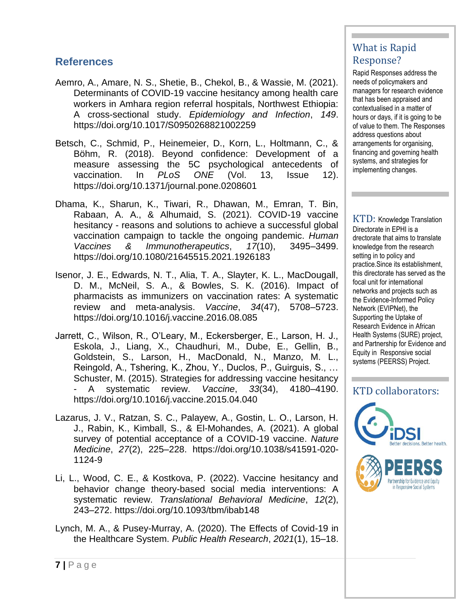## **References**

- Aemro, A., Amare, N. S., Shetie, B., Chekol, B., & Wassie, M. (2021). Determinants of COVID-19 vaccine hesitancy among health care workers in Amhara region referral hospitals, Northwest Ethiopia: A cross-sectional study. *Epidemiology and Infection*, *149*. https://doi.org/10.1017/S0950268821002259
- Betsch, C., Schmid, P., Heinemeier, D., Korn, L., Holtmann, C., & Böhm, R. (2018). Beyond confidence: Development of a measure assessing the 5C psychological antecedents of vaccination. In *PLoS ONE* (Vol. 13, Issue 12). https://doi.org/10.1371/journal.pone.0208601
- Dhama, K., Sharun, K., Tiwari, R., Dhawan, M., Emran, T. Bin, Rabaan, A. A., & Alhumaid, S. (2021). COVID-19 vaccine hesitancy - reasons and solutions to achieve a successful global vaccination campaign to tackle the ongoing pandemic. *Human Vaccines & Immunotherapeutics*, *17*(10), 3495–3499. https://doi.org/10.1080/21645515.2021.1926183
- Isenor, J. E., Edwards, N. T., Alia, T. A., Slayter, K. L., MacDougall, D. M., McNeil, S. A., & Bowles, S. K. (2016). Impact of pharmacists as immunizers on vaccination rates: A systematic review and meta-analysis. *Vaccine*, *34*(47), 5708–5723. https://doi.org/10.1016/j.vaccine.2016.08.085
- Jarrett, C., Wilson, R., O'Leary, M., Eckersberger, E., Larson, H. J., Eskola, J., Liang, X., Chaudhuri, M., Dube, E., Gellin, B., Goldstein, S., Larson, H., MacDonald, N., Manzo, M. L., Reingold, A., Tshering, K., Zhou, Y., Duclos, P., Guirguis, S., … Schuster, M. (2015). Strategies for addressing vaccine hesitancy - A systematic review. *Vaccine*, *33*(34), 4180–4190. https://doi.org/10.1016/j.vaccine.2015.04.040
- Lazarus, J. V., Ratzan, S. C., Palayew, A., Gostin, L. O., Larson, H. J., Rabin, K., Kimball, S., & El-Mohandes, A. (2021). A global survey of potential acceptance of a COVID-19 vaccine. *Nature Medicine*, *27*(2), 225–228. https://doi.org/10.1038/s41591-020- 1124-9
- Li, L., Wood, C. E., & Kostkova, P. (2022). Vaccine hesitancy and behavior change theory-based social media interventions: A systematic review. *Translational Behavioral Medicine*, *12*(2), 243–272. https://doi.org/10.1093/tbm/ibab148
- Lynch, M. A., & Pusey-Murray, A. (2020). The Effects of Covid-19 in the Healthcare System. *Public Health Research*, *2021*(1), 15–18.

# What is Rapid Response?

Rapid Responses address the needs of policymakers and managers for research evidence that has been appraised and contextualised in a matter of hours or days, if it is going to be of value to them. The Responses address questions about arrangements for organising, financing and governing health systems, and strategies for implementing changes.

KTD: Knowledge Translation Directorate in EPHI is a drectorate that aims to translate knowledge from the research setting in to policy and practice.Since its establishment, this directorate has served as the focal unit for international networks and projects such as the Evidence-Informed Policy Network (EVIPNet), the Supporting the Uptake of Research Evidence in African Health Systems (SURE) project, and Partnership for Evidence and Equity in Responsive social systems (PEERSS) Project.

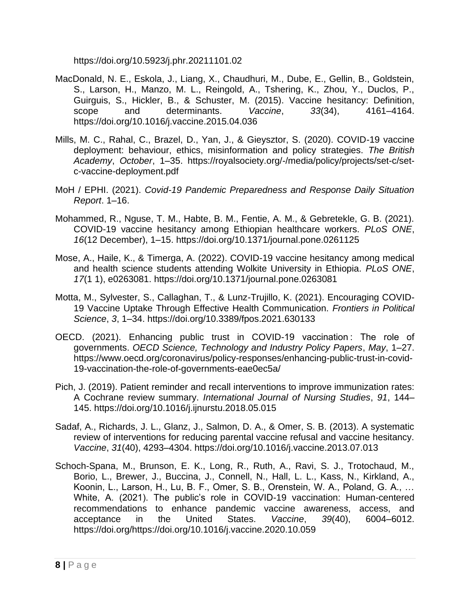https://doi.org/10.5923/j.phr.20211101.02

- MacDonald, N. E., Eskola, J., Liang, X., Chaudhuri, M., Dube, E., Gellin, B., Goldstein, S., Larson, H., Manzo, M. L., Reingold, A., Tshering, K., Zhou, Y., Duclos, P., Guirguis, S., Hickler, B., & Schuster, M. (2015). Vaccine hesitancy: Definition, scope and determinants. *Vaccine*, *33*(34), 4161–4164. https://doi.org/10.1016/j.vaccine.2015.04.036
- Mills, M. C., Rahal, C., Brazel, D., Yan, J., & Gieysztor, S. (2020). COVID-19 vaccine deployment: behaviour, ethics, misinformation and policy strategies. *The British Academy*, *October*, 1–35. https://royalsociety.org/-/media/policy/projects/set-c/setc-vaccine-deployment.pdf
- MoH / EPHI. (2021). *Covid-19 Pandemic Preparedness and Response Daily Situation Report*. 1–16.
- Mohammed, R., Nguse, T. M., Habte, B. M., Fentie, A. M., & Gebretekle, G. B. (2021). COVID-19 vaccine hesitancy among Ethiopian healthcare workers. *PLoS ONE*, *16*(12 December), 1–15. https://doi.org/10.1371/journal.pone.0261125
- Mose, A., Haile, K., & Timerga, A. (2022). COVID-19 vaccine hesitancy among medical and health science students attending Wolkite University in Ethiopia. *PLoS ONE*, *17*(1 1), e0263081. https://doi.org/10.1371/journal.pone.0263081
- Motta, M., Sylvester, S., Callaghan, T., & Lunz-Trujillo, K. (2021). Encouraging COVID-19 Vaccine Uptake Through Effective Health Communication. *Frontiers in Political Science*, *3*, 1–34. https://doi.org/10.3389/fpos.2021.630133
- OECD. (2021). Enhancing public trust in COVID-19 vaccination : The role of governments. *OECD Science, Technology and Industry Policy Papers*, *May*, 1–27. https://www.oecd.org/coronavirus/policy-responses/enhancing-public-trust-in-covid-19-vaccination-the-role-of-governments-eae0ec5a/
- Pich, J. (2019). Patient reminder and recall interventions to improve immunization rates: A Cochrane review summary. *International Journal of Nursing Studies*, *91*, 144– 145. https://doi.org/10.1016/j.ijnurstu.2018.05.015
- Sadaf, A., Richards, J. L., Glanz, J., Salmon, D. A., & Omer, S. B. (2013). A systematic review of interventions for reducing parental vaccine refusal and vaccine hesitancy. *Vaccine*, *31*(40), 4293–4304. https://doi.org/10.1016/j.vaccine.2013.07.013
- Schoch-Spana, M., Brunson, E. K., Long, R., Ruth, A., Ravi, S. J., Trotochaud, M., Borio, L., Brewer, J., Buccina, J., Connell, N., Hall, L. L., Kass, N., Kirkland, A., Koonin, L., Larson, H., Lu, B. F., Omer, S. B., Orenstein, W. A., Poland, G. A., … White, A. (2021). The public's role in COVID-19 vaccination: Human-centered recommendations to enhance pandemic vaccine awareness, access, and acceptance in the United States. *Vaccine*, *39*(40), 6004–6012. https://doi.org/https://doi.org/10.1016/j.vaccine.2020.10.059